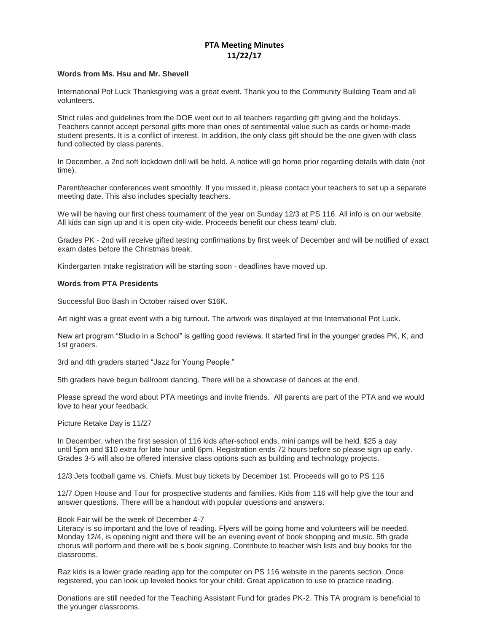## **PTA Meeting Minutes 11/22/17**

## **Words from Ms. Hsu and Mr. Shevell**

International Pot Luck Thanksgiving was a great event. Thank you to the Community Building Team and all volunteers.

Strict rules and guidelines from the DOE went out to all teachers regarding gift giving and the holidays. Teachers cannot accept personal gifts more than ones of sentimental value such as cards or home-made student presents. It is a conflict of interest. In addition, the only class gift should be the one given with class fund collected by class parents.

In December, a 2nd soft lockdown drill will be held. A notice will go home prior regarding details with date (not time).

Parent/teacher conferences went smoothly. If you missed it, please contact your teachers to set up a separate meeting date. This also includes specialty teachers.

We will be having our first chess tournament of the year on Sunday 12/3 at PS 116. All info is on our website. All kids can sign up and it is open city-wide. Proceeds benefit our chess team/ club.

Grades PK - 2nd will receive gifted testing confirmations by first week of December and will be notified of exact exam dates before the Christmas break.

Kindergarten Intake registration will be starting soon - deadlines have moved up.

## **Words from PTA Presidents**

Successful Boo Bash in October raised over \$16K.

Art night was a great event with a big turnout. The artwork was displayed at the International Pot Luck.

New art program "Studio in a School" is getting good reviews. It started first in the younger grades PK, K, and 1st graders.

3rd and 4th graders started "Jazz for Young People."

5th graders have begun ballroom dancing. There will be a showcase of dances at the end.

Please spread the word about PTA meetings and invite friends. All parents are part of the PTA and we would love to hear your feedback.

Picture Retake Day is 11/27

In December, when the first session of 116 kids after-school ends, mini camps will be held. \$25 a day until 5pm and \$10 extra for late hour until 6pm. Registration ends 72 hours before so please sign up early. Grades 3-5 will also be offered intensive class options such as building and technology projects.

12/3 Jets football game vs. Chiefs. Must buy tickets by December 1st. Proceeds will go to PS 116

12/7 Open House and Tour for prospective students and families. Kids from 116 will help give the tour and answer questions. There will be a handout with popular questions and answers.

## Book Fair will be the week of December 4-7

Literacy is so important and the love of reading. Flyers will be going home and volunteers will be needed. Monday 12/4, is opening night and there will be an evening event of book shopping and music. 5th grade chorus will perform and there will be s book signing. Contribute to teacher wish lists and buy books for the classrooms.

Raz kids is a lower grade reading app for the computer on PS 116 website in the parents section. Once registered, you can look up leveled books for your child. Great application to use to practice reading.

Donations are still needed for the Teaching Assistant Fund for grades PK-2. This TA program is beneficial to the younger classrooms.